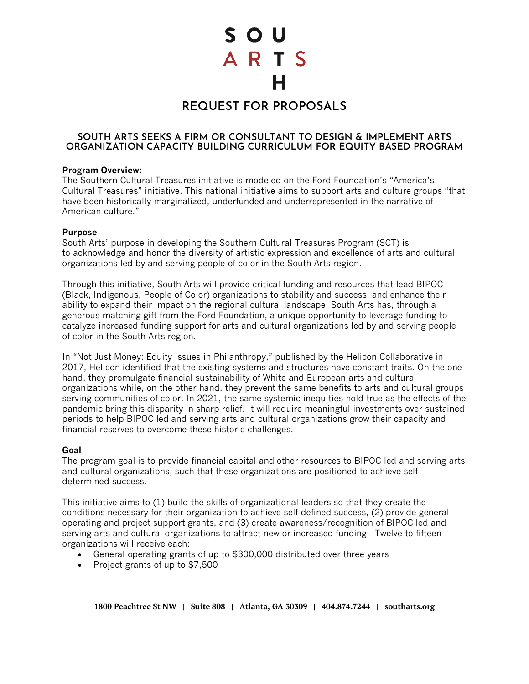S O U ARTS

# **REQUEST FOR PROPOSALS**

## **SOUTH ARTS SEEKS A FIRM OR CONSULTANT TO DESIGN & IMPLEMENT ARTS ORGANIZATION CAPACITY BUILDING CURRICULUM FOR EQUITY BASED PROGRAM**

#### **Program Overview:**

The Southern Cultural Treasures initiative is modeled on the Ford Foundation's "America's Cultural Treasures" initiative. This national initiative aims to support arts and culture groups "that have been historically marginalized, underfunded and underrepresented in the narrative of American culture."

#### **Purpose**

South Arts' purpose in developing the Southern Cultural Treasures Program (SCT) is to acknowledge and honor the diversity of artistic expression and excellence of arts and cultural organizations led by and serving people of color in the South Arts region.

Through this initiative, South Arts will provide critical funding and resources that lead BIPOC (Black, Indigenous, People of Color) organizations to stability and success, and enhance their ability to expand their impact on the regional cultural landscape. South Arts has, through a generous matching gift from the Ford Foundation, a unique opportunity to leverage funding to catalyze increased funding support for arts and cultural organizations led by and serving people of color in the South Arts region.

In "Not Just Money: Equity Issues in Philanthropy," published by the Helicon Collaborative in 2017, Helicon identified that the existing systems and structures have constant traits. On the one hand, they promulgate financial sustainability of White and European arts and cultural organizations while, on the other hand, they prevent the same benefits to arts and cultural groups serving communities of color. In 2021, the same systemic inequities hold true as the effects of the pandemic bring this disparity in sharp relief. It will require meaningful investments over sustained periods to help BIPOC led and serving arts and cultural organizations grow their capacity and financial reserves to overcome these historic challenges.

## **Goal**

The program goal is to provide financial capital and other resources to BIPOC led and serving arts and cultural organizations, such that these organizations are positioned to achieve selfdetermined success.

This initiative aims to (1) build the skills of organizational leaders so that they create the conditions necessary for their organization to achieve self-defined success, (2) provide general operating and project support grants, and (3) create awareness/recognition of BIPOC led and serving arts and cultural organizations to attract new or increased funding. Twelve to fifteen organizations will receive each:

- General operating grants of up to \$300,000 distributed over three years
- Project grants of up to \$7,500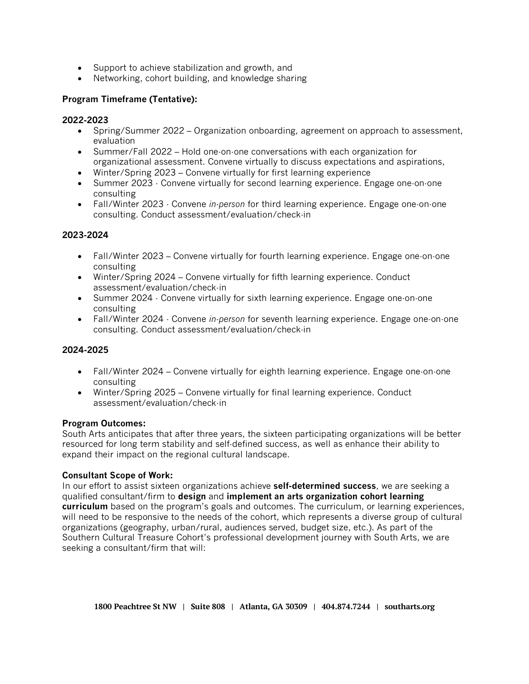- Support to achieve stabilization and growth, and
- Networking, cohort building, and knowledge sharing

# **Program Timeframe (Tentative):**

## **2022-2023**

- Spring/Summer 2022 Organization onboarding, agreement on approach to assessment, evaluation
- Summer/Fall 2022 Hold one-on-one conversations with each organization for organizational assessment. Convene virtually to discuss expectations and aspirations,
- Winter/Spring 2023 Convene virtually for first learning experience
- Summer 2023 Convene virtually for second learning experience. Engage one-on-one consulting
- Fall/Winter 2023 Convene *in-person* for third learning experience. Engage one-on-one consulting. Conduct assessment/evaluation/check-in

## **2023-2024**

- Fall/Winter 2023 Convene virtually for fourth learning experience. Engage one-on-one consulting
- Winter/Spring 2024 Convene virtually for fifth learning experience. Conduct assessment/evaluation/check-in
- Summer 2024 Convene virtually for sixth learning experience. Engage one-on-one consulting
- Fall/Winter 2024 Convene *in-person* for seventh learning experience. Engage one-on-one consulting. Conduct assessment/evaluation/check-in

## **2024-2025**

- Fall/Winter 2024 Convene virtually for eighth learning experience. Engage one-on-one consulting
- Winter/Spring 2025 Convene virtually for final learning experience. Conduct assessment/evaluation/check-in

## **Program Outcomes:**

South Arts anticipates that after three years, the sixteen participating organizations will be better resourced for long term stability and self-defined success, as well as enhance their ability to expand their impact on the regional cultural landscape.

## **Consultant Scope of Work:**

In our effort to assist sixteen organizations achieve **self-determined success**, we are seeking a qualified consultant/firm to **design** and **implement an arts organization cohort learning curriculum** based on the program's goals and outcomes. The curriculum, or learning experiences, will need to be responsive to the needs of the cohort, which represents a diverse group of cultural organizations (geography, urban/rural, audiences served, budget size, etc.). As part of the Southern Cultural Treasure Cohort's professional development journey with South Arts, we are seeking a consultant/firm that will: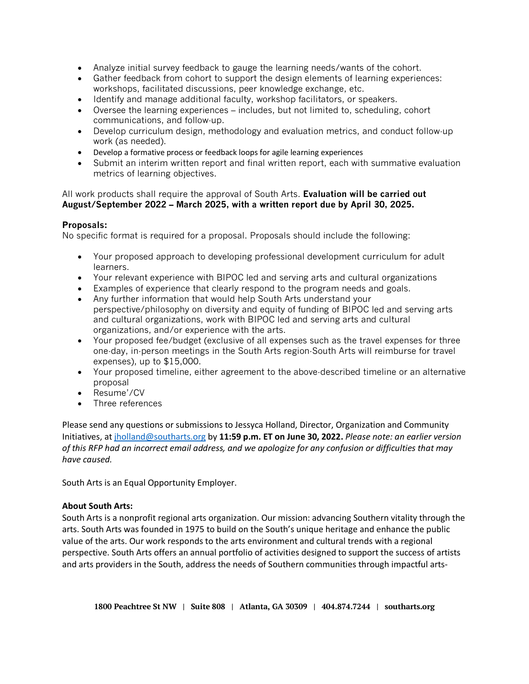- Analyze initial survey feedback to gauge the learning needs/wants of the cohort.
- Gather feedback from cohort to support the design elements of learning experiences: workshops, facilitated discussions, peer knowledge exchange, etc.
- Identify and manage additional faculty, workshop facilitators, or speakers.
- Oversee the learning experiences includes, but not limited to, scheduling, cohort communications, and follow-up.
- Develop curriculum design, methodology and evaluation metrics, and conduct follow-up work (as needed).
- Develop a formative process or feedback loops for agile learning experiences
- Submit an interim written report and final written report, each with summative evaluation metrics of learning objectives.

#### All work products shall require the approval of South Arts. **Evaluation will be carried out August/September 2022 – March 2025, with a written report due by April 30, 2025.**

## **Proposals:**

No specific format is required for a proposal. Proposals should include the following:

- Your proposed approach to developing professional development curriculum for adult learners.
- Your relevant experience with BIPOC led and serving arts and cultural organizations
- Examples of experience that clearly respond to the program needs and goals.
- Any further information that would help South Arts understand your perspective/philosophy on diversity and equity of funding of BIPOC led and serving arts and cultural organizations, work with BIPOC led and serving arts and cultural organizations, and/or experience with the arts.
- Your proposed fee/budget (exclusive of all expenses such as the travel expenses for three one-day, in-person meetings in the South Arts region-South Arts will reimburse for travel expenses), up to \$15,000.
- Your proposed timeline, either agreement to the above-described timeline or an alternative proposal
- Resume'/CV
- Three references

Please send any questions or submissions to Jessyca Holland, Director, Organization and Community Initiatives, at [jholland@southarts.org](mailto:jholland@southarts.org) by **11:59 p.m. ET on June 30, 2022.** *Please note: an earlier version of this RFP had an incorrect email address, and we apologize for any confusion or difficulties that may have caused.*

South Arts is an Equal Opportunity Employer.

## **About South Arts:**

South Arts is a nonprofit regional arts organization. Our mission: advancing Southern vitality through the arts. South Arts was founded in 1975 to build on the South's unique heritage and enhance the public value of the arts. Our work responds to the arts environment and cultural trends with a regional perspective. South Arts offers an annual portfolio of activities designed to support the success of artists and arts providers in the South, address the needs of Southern communities through impactful arts